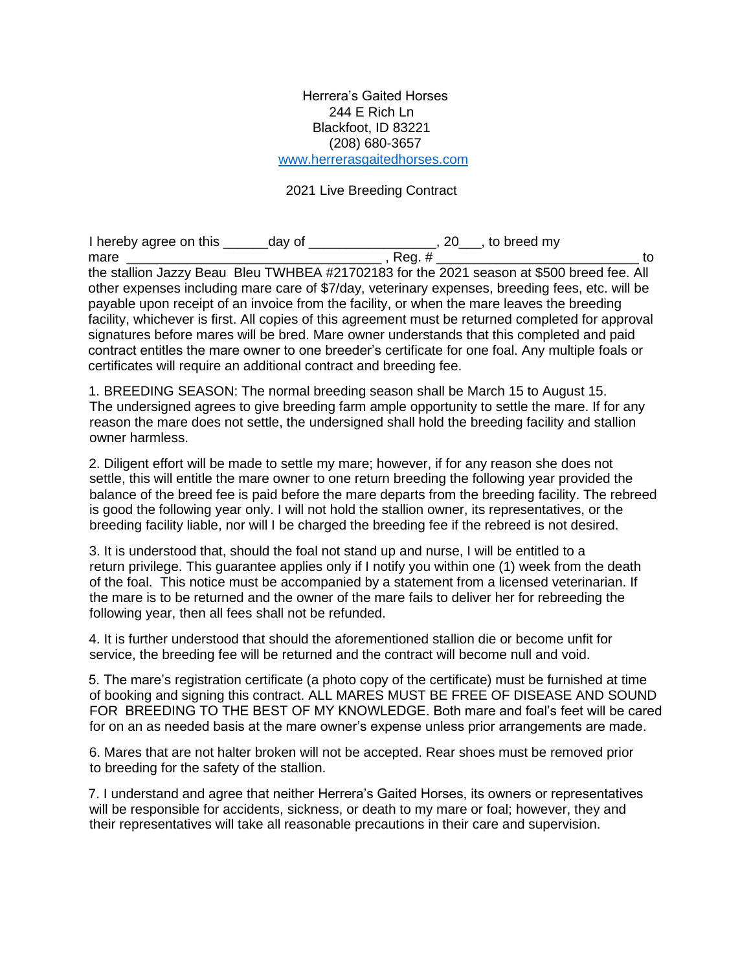## Herrera's Gaited Horses 244 E Rich Ln Blackfoot, ID 83221 (208) 680-3657 www.herrerasgaitedhorses.com

## 2021 Live Breeding Contract

I hereby agree on this \_\_\_\_\_\_day of \_\_\_\_\_\_\_\_\_\_\_\_\_\_\_\_\_, 20\_\_\_, to breed my mare  $\frac{1}{2}$  to  $\frac{1}{2}$  to  $\frac{1}{2}$  , Reg. # the stallion Jazzy Beau Bleu TWHBEA #21702183 for the 2021 season at \$500 breed fee. All other expenses including mare care of \$7/day, veterinary expenses, breeding fees, etc. will be payable upon receipt of an invoice from the facility, or when the mare leaves the breeding facility, whichever is first. All copies of this agreement must be returned completed for approval signatures before mares will be bred. Mare owner understands that this completed and paid contract entitles the mare owner to one breeder's certificate for one foal. Any multiple foals or certificates will require an additional contract and breeding fee.

1. BREEDING SEASON: The normal breeding season shall be March 15 to August 15. The undersigned agrees to give breeding farm ample opportunity to settle the mare. If for any reason the mare does not settle, the undersigned shall hold the breeding facility and stallion owner harmless.

2. Diligent effort will be made to settle my mare; however, if for any reason she does not settle, this will entitle the mare owner to one return breeding the following year provided the balance of the breed fee is paid before the mare departs from the breeding facility. The rebreed is good the following year only. I will not hold the stallion owner, its representatives, or the breeding facility liable, nor will I be charged the breeding fee if the rebreed is not desired.

3. It is understood that, should the foal not stand up and nurse, I will be entitled to a return privilege. This guarantee applies only if I notify you within one (1) week from the death of the foal. This notice must be accompanied by a statement from a licensed veterinarian. If the mare is to be returned and the owner of the mare fails to deliver her for rebreeding the following year, then all fees shall not be refunded.

4. It is further understood that should the aforementioned stallion die or become unfit for service, the breeding fee will be returned and the contract will become null and void.

5. The mare's registration certificate (a photo copy of the certificate) must be furnished at time of booking and signing this contract. ALL MARES MUST BE FREE OF DISEASE AND SOUND FOR BREEDING TO THE BEST OF MY KNOWLEDGE. Both mare and foal's feet will be cared for on an as needed basis at the mare owner's expense unless prior arrangements are made.

6. Mares that are not halter broken will not be accepted. Rear shoes must be removed prior to breeding for the safety of the stallion.

7. I understand and agree that neither Herrera's Gaited Horses, its owners or representatives will be responsible for accidents, sickness, or death to my mare or foal; however, they and their representatives will take all reasonable precautions in their care and supervision.